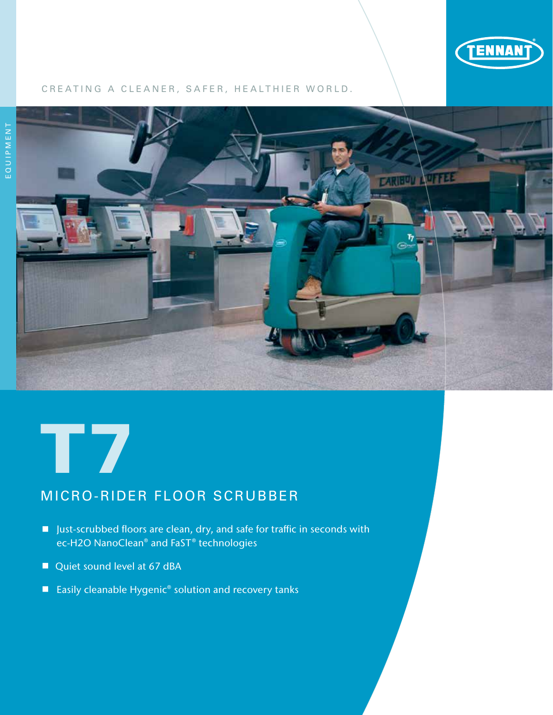

#### CREATING A CLEANER, SAFER, HEALTHIER WORLD.





## MICRO-RIDER FLOOR SCRUBBER

- Just-scrubbed floors are clean, dry, and safe for traffic in seconds with ec-H2O NanoClean® and FaST® technologies
- Quiet sound level at 67 dBA
- Easily cleanable Hygenic<sup>®</sup> solution and recovery tanks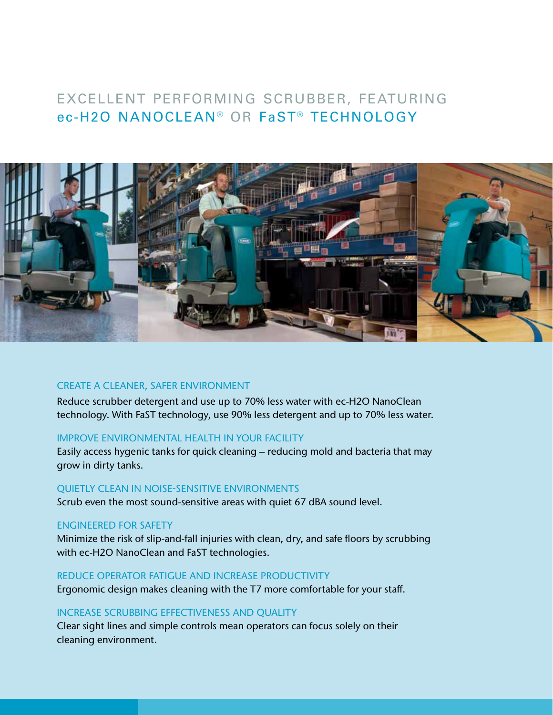## EXCELLENT PERFORMING SCRUBBER, FEATURING ec-H2O NANOCLEAN® OR FaST® TECHNOLOGY



#### CREATE A CLEANER, SAFER ENVIRONMENT

Reduce scrubber detergent and use up to 70% less water with ec-H2O NanoClean technology. With FaST technology, use 90% less detergent and up to 70% less water.

#### IMPROVE ENVIRONMENTAL HEALTH IN YOUR FACILITY

Easily access hygenic tanks for quick cleaning – reducing mold and bacteria that may grow in dirty tanks.

#### QUIETLY CLEAN IN NOISE-SENSITIVE ENVIRONMENTS

Scrub even the most sound-sensitive areas with quiet 67 dBA sound level.

#### ENGINEERED FOR SAFETY

Minimize the risk of slip-and-fall injuries with clean, dry, and safe floors by scrubbing with ec-H2O NanoClean and FaST technologies.

#### REDUCE OPERATOR FATIGUE AND INCREASE PRODUCTIVITY

Ergonomic design makes cleaning with the T7 more comfortable for your staff.

#### INCREASE SCRUBBING EFFECTIVENESS AND QUALITY

Clear sight lines and simple controls mean operators can focus solely on their cleaning environment.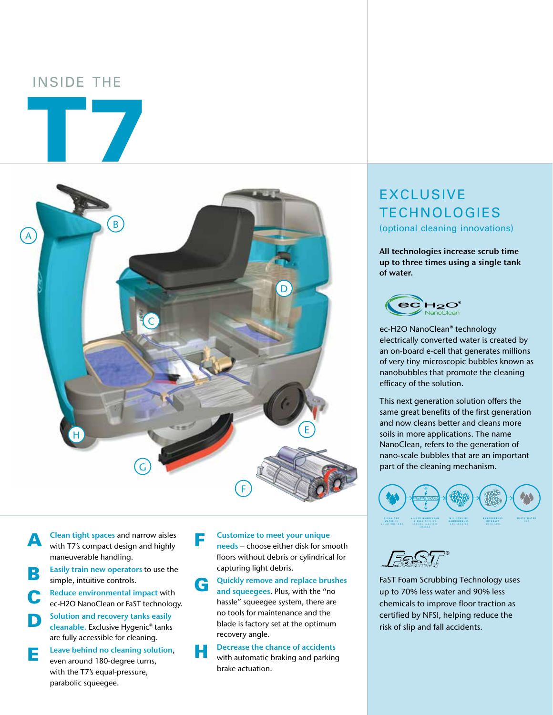## INSIDE THE

T7



**A** Clean tight spaces and narrow aisles<br>with T7's compact design and highly maneuverable handling.

Easily train new operators to use the simple, intuitive controls.

**C** Reduce environmental impact with<br>
ec-H2O NanoClean or FaST technology.

Solution and recovery tanks easily cleanable. Exclusive Hygenic® tanks

are fully accessible for cleaning. **E** Leave behind no cleaning solution, even around 180-degree turns, with the T7's equal-pressure,

parabolic squeegee.

**F** Customize to meet your unique<br>
needs – choose either disk for smooth floors without debris or cylindrical for capturing light debris.

G Quickly remove and replace brushes and squeegees. Plus, with the "no hassle" squeegee system, there are no tools for maintenance and the blade is factory set at the optimum recovery angle.

# **H** Decrease the chance of accidents<br>with automatic braking and parking

brake actuation.

# EXCLUSIVE TECHNOLOGIES

(optional cleaning innovations)

All technologies increase scrub time up to three times using a single tank of water.



ec-H2O NanoClean® technology electrically converted water is created by an on-board e-cell that generates millions of very tiny microscopic bubbles known as nanobubbles that promote the cleaning efficacy of the solution.

This next generation solution offers the same great benefits of the first generation and now cleans better and cleans more soils in more applications. The name NanoClean, refers to the generation of nano-scale bubbles that are an important part of the cleaning mechanism.



FaST Foam Scrubbing Technology uses up to 70% less water and 90% less chemicals to improve floor traction as certified by NFSI, helping reduce the risk of slip and fall accidents.